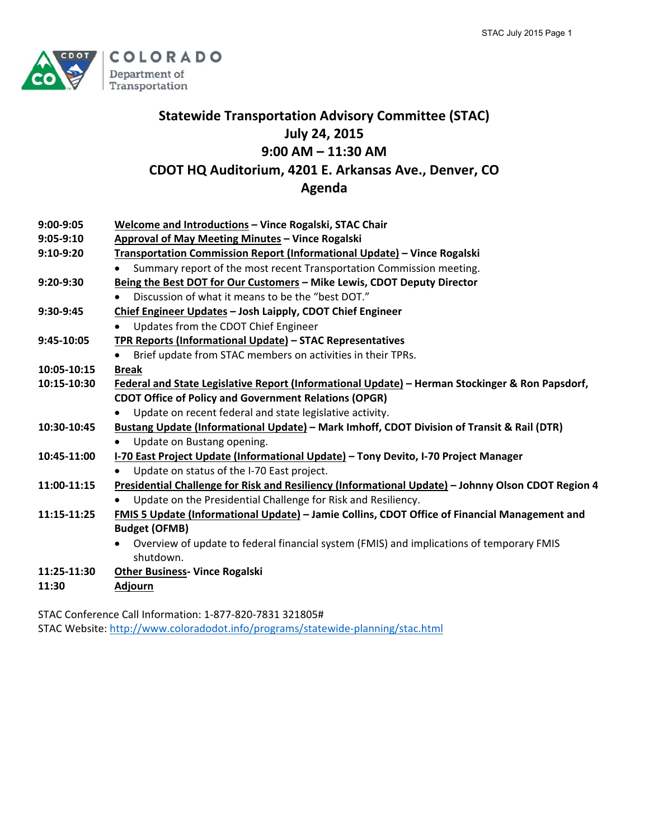

# **Statewide Transportation Advisory Committee (STAC) July 24, 2015 9:00 AM – 11:30 AM CDOT HQ Auditorium, 4201 E. Arkansas Ave., Denver, CO Agenda**

| $9:00-9:05$ | Welcome and Introductions - Vince Rogalski, STAC Chair                                             |
|-------------|----------------------------------------------------------------------------------------------------|
| $9:05-9:10$ | Approval of May Meeting Minutes - Vince Rogalski                                                   |
| $9:10-9:20$ | Transportation Commission Report (Informational Update) - Vince Rogalski                           |
|             | Summary report of the most recent Transportation Commission meeting.                               |
| $9:20-9:30$ | Being the Best DOT for Our Customers - Mike Lewis, CDOT Deputy Director                            |
|             | Discussion of what it means to be the "best DOT."                                                  |
| $9:30-9:45$ | Chief Engineer Updates - Josh Laipply, CDOT Chief Engineer                                         |
|             | Updates from the CDOT Chief Engineer                                                               |
| 9:45-10:05  | TPR Reports (Informational Update) - STAC Representatives                                          |
|             | Brief update from STAC members on activities in their TPRs.                                        |
| 10:05-10:15 | <b>Break</b>                                                                                       |
| 10:15-10:30 | Federal and State Legislative Report (Informational Update) - Herman Stockinger & Ron Papsdorf,    |
|             | <b>CDOT Office of Policy and Government Relations (OPGR)</b>                                       |
|             | Update on recent federal and state legislative activity.                                           |
| 10:30-10:45 | Bustang Update (Informational Update) - Mark Imhoff, CDOT Division of Transit & Rail (DTR)         |
|             | Update on Bustang opening.                                                                         |
| 10:45-11:00 | I-70 East Project Update (Informational Update) - Tony Devito, I-70 Project Manager                |
|             | Update on status of the I-70 East project.                                                         |
| 11:00-11:15 | Presidential Challenge for Risk and Resiliency (Informational Update) - Johnny Olson CDOT Region 4 |
|             | Update on the Presidential Challenge for Risk and Resiliency.                                      |
| 11:15-11:25 | FMIS 5 Update (Informational Update) - Jamie Collins, CDOT Office of Financial Management and      |
|             | <b>Budget (OFMB)</b>                                                                               |
|             | Overview of update to federal financial system (FMIS) and implications of temporary FMIS           |
|             | shutdown.                                                                                          |
| 11:25-11:30 | <b>Other Business- Vince Rogalski</b>                                                              |
| 11:30       | <b>Adjourn</b>                                                                                     |
|             |                                                                                                    |

STAC Conference Call Information: 1‐877‐820‐7831 321805# STAC Website: http://www.coloradodot.info/programs/statewide‐planning/stac.html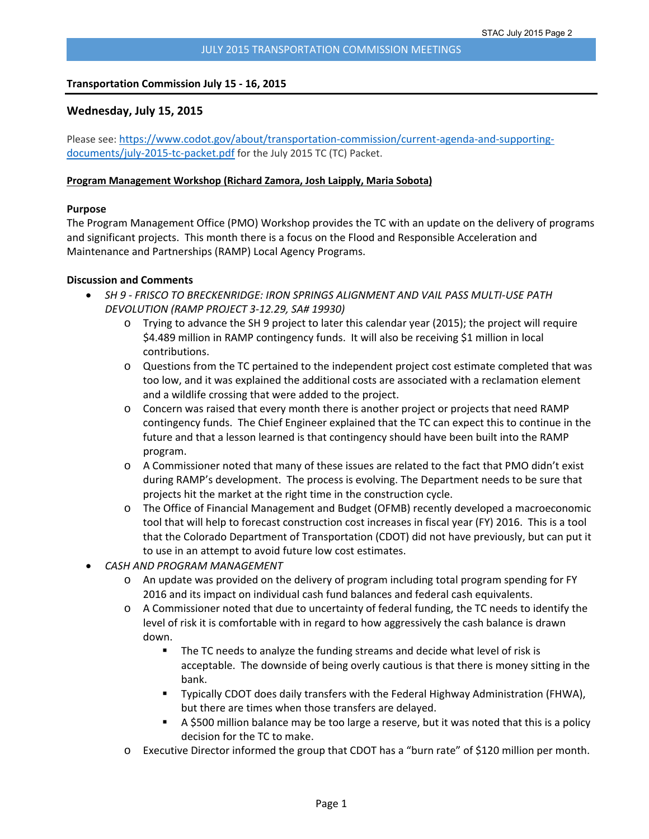#### **Transportation Commission July 15 ‐ 16, 2015**

# **Wednesday, July 15, 2015**

Please see: https://www.codot.gov/about/transportation-commission/current-agenda-and-supportingdocuments/july‐2015‐tc‐packet.pdf for the July 2015 TC (TC) Packet.

#### **Program Management Workshop (Richard Zamora, Josh Laipply, Maria Sobota)**

#### **Purpose**

The Program Management Office (PMO) Workshop provides the TC with an update on the delivery of programs and significant projects. This month there is a focus on the Flood and Responsible Acceleration and Maintenance and Partnerships (RAMP) Local Agency Programs.

#### **Discussion and Comments**

- *SH 9 ‐ FRISCO TO BRECKENRIDGE: IRON SPRINGS ALIGNMENT AND VAIL PASS MULTI‐USE PATH DEVOLUTION (RAMP PROJECT 3‐12.29, SA# 19930)*
	- o Trying to advance the SH 9 project to later this calendar year (2015); the project will require \$4.489 million in RAMP contingency funds. It will also be receiving \$1 million in local contributions.
	- o Questions from the TC pertained to the independent project cost estimate completed that was too low, and it was explained the additional costs are associated with a reclamation element and a wildlife crossing that were added to the project.
	- o Concern was raised that every month there is another project or projects that need RAMP contingency funds. The Chief Engineer explained that the TC can expect this to continue in the future and that a lesson learned is that contingency should have been built into the RAMP program.
	- o A Commissioner noted that many of these issues are related to the fact that PMO didn't exist during RAMP's development. The process is evolving. The Department needs to be sure that projects hit the market at the right time in the construction cycle.
	- o The Office of Financial Management and Budget (OFMB) recently developed a macroeconomic tool that will help to forecast construction cost increases in fiscal year (FY) 2016. This is a tool that the Colorado Department of Transportation (CDOT) did not have previously, but can put it to use in an attempt to avoid future low cost estimates.
- *CASH AND PROGRAM MANAGEMENT*
	- o An update was provided on the delivery of program including total program spending for FY 2016 and its impact on individual cash fund balances and federal cash equivalents.
	- o A Commissioner noted that due to uncertainty of federal funding, the TC needs to identify the level of risk it is comfortable with in regard to how aggressively the cash balance is drawn down.
		- The TC needs to analyze the funding streams and decide what level of risk is acceptable. The downside of being overly cautious is that there is money sitting in the bank.
		- Typically CDOT does daily transfers with the Federal Highway Administration (FHWA), but there are times when those transfers are delayed.
		- A \$500 million balance may be too large a reserve, but it was noted that this is a policy decision for the TC to make.
	- Executive Director informed the group that CDOT has a "burn rate" of \$120 million per month.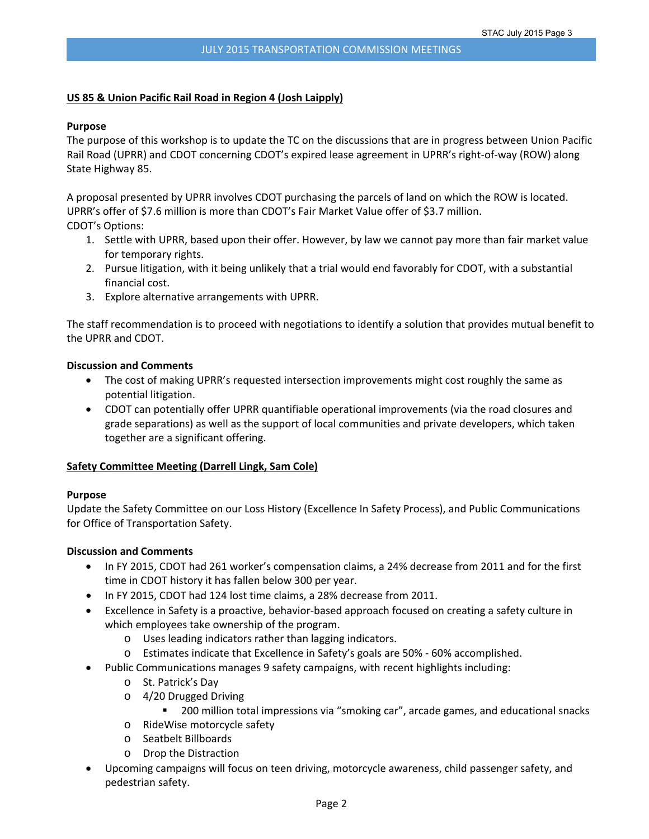#### **US 85 & Union Pacific Rail Road in Region 4 (Josh Laipply)**

#### **Purpose**

The purpose of this workshop is to update the TC on the discussions that are in progress between Union Pacific Rail Road (UPRR) and CDOT concerning CDOT's expired lease agreement in UPRR's right‐of‐way (ROW) along State Highway 85.

A proposal presented by UPRR involves CDOT purchasing the parcels of land on which the ROW is located. UPRR's offer of \$7.6 million is more than CDOT's Fair Market Value offer of \$3.7 million. CDOT's Options:

- 1. Settle with UPRR, based upon their offer. However, by law we cannot pay more than fair market value for temporary rights.
- 2. Pursue litigation, with it being unlikely that a trial would end favorably for CDOT, with a substantial financial cost.
- 3. Explore alternative arrangements with UPRR.

The staff recommendation is to proceed with negotiations to identify a solution that provides mutual benefit to the UPRR and CDOT.

#### **Discussion and Comments**

- The cost of making UPRR's requested intersection improvements might cost roughly the same as potential litigation.
- CDOT can potentially offer UPRR quantifiable operational improvements (via the road closures and grade separations) as well as the support of local communities and private developers, which taken together are a significant offering.

#### **Safety Committee Meeting (Darrell Lingk, Sam Cole)**

#### **Purpose**

Update the Safety Committee on our Loss History (Excellence In Safety Process), and Public Communications for Office of Transportation Safety.

#### **Discussion and Comments**

- In FY 2015, CDOT had 261 worker's compensation claims, a 24% decrease from 2011 and for the first time in CDOT history it has fallen below 300 per year.
- In FY 2015, CDOT had 124 lost time claims, a 28% decrease from 2011.
- Excellence in Safety is a proactive, behavior‐based approach focused on creating a safety culture in which employees take ownership of the program.
	- o Uses leading indicators rather than lagging indicators.
	- o Estimates indicate that Excellence in Safety's goals are 50% ‐ 60% accomplished.
- Public Communications manages 9 safety campaigns, with recent highlights including:
	- o St. Patrick's Day
	- o 4/20 Drugged Driving
		- **200 million total impressions via "smoking car", arcade games, and educational snacks**
	- o RideWise motorcycle safety
	- o Seatbelt Billboards
	- o Drop the Distraction
- Upcoming campaigns will focus on teen driving, motorcycle awareness, child passenger safety, and pedestrian safety.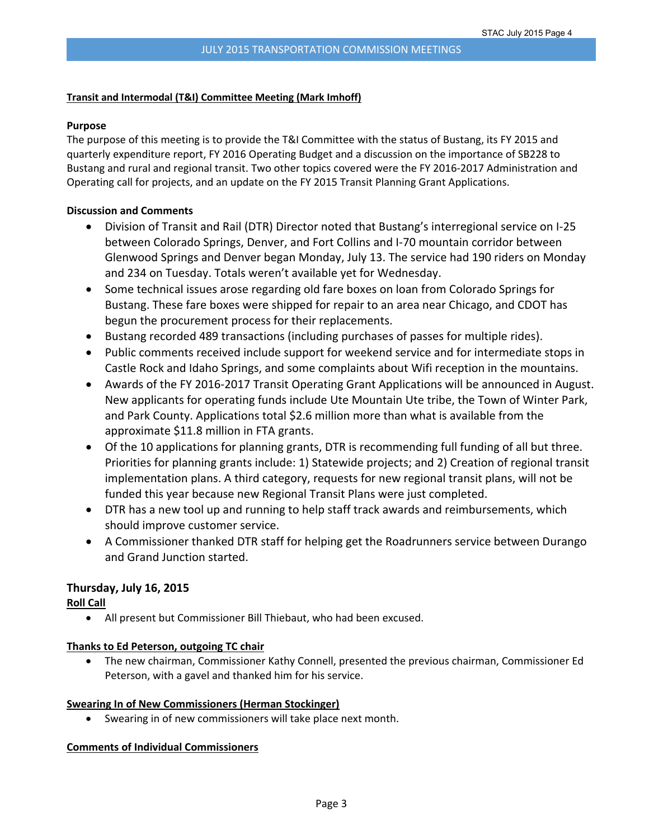#### **Transit and Intermodal (T&I) Committee Meeting (Mark Imhoff)**

#### **Purpose**

The purpose of this meeting is to provide the T&I Committee with the status of Bustang, its FY 2015 and quarterly expenditure report, FY 2016 Operating Budget and a discussion on the importance of SB228 to Bustang and rural and regional transit. Two other topics covered were the FY 2016‐2017 Administration and Operating call for projects, and an update on the FY 2015 Transit Planning Grant Applications.

#### **Discussion and Comments**

- Division of Transit and Rail (DTR) Director noted that Bustang's interregional service on I‐25 between Colorado Springs, Denver, and Fort Collins and I‐70 mountain corridor between Glenwood Springs and Denver began Monday, July 13. The service had 190 riders on Monday and 234 on Tuesday. Totals weren't available yet for Wednesday.
- Some technical issues arose regarding old fare boxes on loan from Colorado Springs for Bustang. These fare boxes were shipped for repair to an area near Chicago, and CDOT has begun the procurement process for their replacements.
- Bustang recorded 489 transactions (including purchases of passes for multiple rides).
- Public comments received include support for weekend service and for intermediate stops in Castle Rock and Idaho Springs, and some complaints about Wifi reception in the mountains.
- Awards of the FY 2016‐2017 Transit Operating Grant Applications will be announced in August. New applicants for operating funds include Ute Mountain Ute tribe, the Town of Winter Park, and Park County. Applications total \$2.6 million more than what is available from the approximate \$11.8 million in FTA grants.
- Of the 10 applications for planning grants, DTR is recommending full funding of all but three. Priorities for planning grants include: 1) Statewide projects; and 2) Creation of regional transit implementation plans. A third category, requests for new regional transit plans, will not be funded this year because new Regional Transit Plans were just completed.
- DTR has a new tool up and running to help staff track awards and reimbursements, which should improve customer service.
- A Commissioner thanked DTR staff for helping get the Roadrunners service between Durango and Grand Junction started.

# **Thursday, July 16, 2015**

**Roll Call**

All present but Commissioner Bill Thiebaut, who had been excused.

# **Thanks to Ed Peterson, outgoing TC chair**

 The new chairman, Commissioner Kathy Connell, presented the previous chairman, Commissioner Ed Peterson, with a gavel and thanked him for his service.

#### **Swearing In of New Commissioners (Herman Stockinger)**

Swearing in of new commissioners will take place next month.

# **Comments of Individual Commissioners**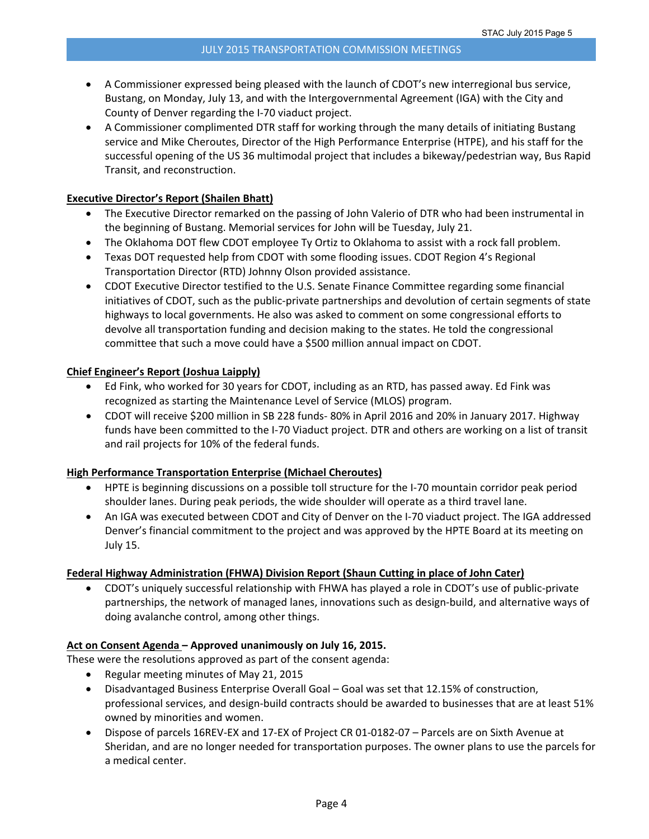- A Commissioner expressed being pleased with the launch of CDOT's new interregional bus service, Bustang, on Monday, July 13, and with the Intergovernmental Agreement (IGA) with the City and County of Denver regarding the I‐70 viaduct project.
- A Commissioner complimented DTR staff for working through the many details of initiating Bustang service and Mike Cheroutes, Director of the High Performance Enterprise (HTPE), and his staff for the successful opening of the US 36 multimodal project that includes a bikeway/pedestrian way, Bus Rapid Transit, and reconstruction.

#### **Executive Director's Report (Shailen Bhatt)**

- The Executive Director remarked on the passing of John Valerio of DTR who had been instrumental in the beginning of Bustang. Memorial services for John will be Tuesday, July 21.
- The Oklahoma DOT flew CDOT employee Ty Ortiz to Oklahoma to assist with a rock fall problem.
- Texas DOT requested help from CDOT with some flooding issues. CDOT Region 4's Regional Transportation Director (RTD) Johnny Olson provided assistance.
- CDOT Executive Director testified to the U.S. Senate Finance Committee regarding some financial initiatives of CDOT, such as the public‐private partnerships and devolution of certain segments of state highways to local governments. He also was asked to comment on some congressional efforts to devolve all transportation funding and decision making to the states. He told the congressional committee that such a move could have a \$500 million annual impact on CDOT.

#### **Chief Engineer's Report (Joshua Laipply)**

- Ed Fink, who worked for 30 years for CDOT, including as an RTD, has passed away. Ed Fink was recognized as starting the Maintenance Level of Service (MLOS) program.
- CDOT will receive \$200 million in SB 228 funds‐ 80% in April 2016 and 20% in January 2017. Highway funds have been committed to the I‐70 Viaduct project. DTR and others are working on a list of transit and rail projects for 10% of the federal funds.

#### **High Performance Transportation Enterprise (Michael Cheroutes)**

- HPTE is beginning discussions on a possible toll structure for the I‐70 mountain corridor peak period shoulder lanes. During peak periods, the wide shoulder will operate as a third travel lane.
- An IGA was executed between CDOT and City of Denver on the I-70 viaduct project. The IGA addressed Denver's financial commitment to the project and was approved by the HPTE Board at its meeting on July 15.

# **Federal Highway Administration (FHWA) Division Report (Shaun Cutting in place of John Cater)**

 CDOT's uniquely successful relationship with FHWA has played a role in CDOT's use of public‐private partnerships, the network of managed lanes, innovations such as design‐build, and alternative ways of doing avalanche control, among other things.

# **Act on Consent Agenda – Approved unanimously on July 16, 2015.**

These were the resolutions approved as part of the consent agenda:

- Regular meeting minutes of May 21, 2015
- Disadvantaged Business Enterprise Overall Goal Goal was set that 12.15% of construction, professional services, and design‐build contracts should be awarded to businesses that are at least 51% owned by minorities and women.
- Dispose of parcels 16REV‐EX and 17‐EX of Project CR 01‐0182‐07 Parcels are on Sixth Avenue at Sheridan, and are no longer needed for transportation purposes. The owner plans to use the parcels for a medical center.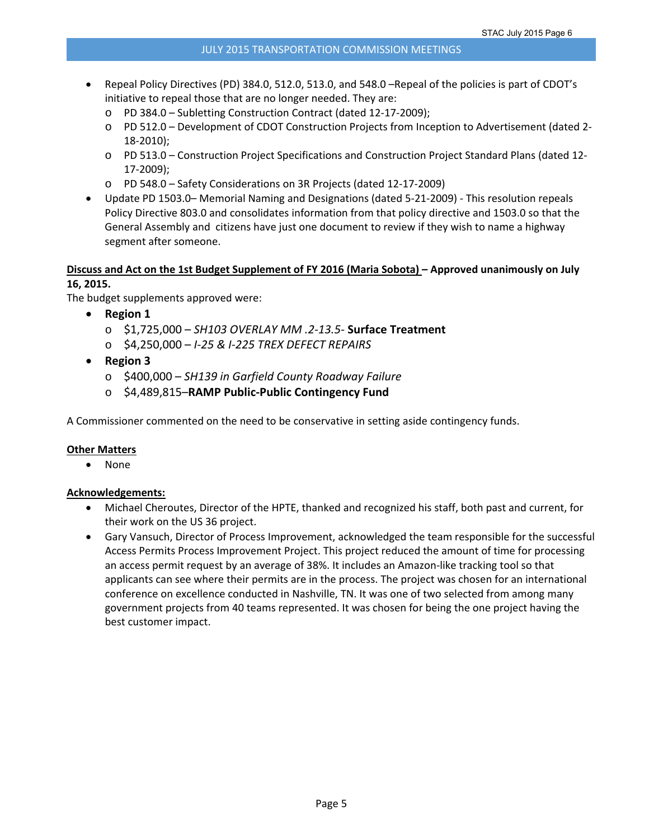- Repeal Policy Directives (PD) 384.0, 512.0, 513.0, and 548.0 –Repeal of the policies is part of CDOT's initiative to repeal those that are no longer needed. They are:
	- o PD 384.0 Subletting Construction Contract (dated 12‐17‐2009);
	- o PD 512.0 Development of CDOT Construction Projects from Inception to Advertisement (dated 2‐ 18‐2010);
	- o PD 513.0 Construction Project Specifications and Construction Project Standard Plans (dated 12‐ 17‐2009);
	- o PD 548.0 Safety Considerations on 3R Projects (dated 12‐17‐2009)
- Update PD 1503.0– Memorial Naming and Designations (dated 5‐21‐2009) ‐ This resolution repeals Policy Directive 803.0 and consolidates information from that policy directive and 1503.0 so that the General Assembly and citizens have just one document to review if they wish to name a highway segment after someone.

# Discuss and Act on the 1st Budget Supplement of FY 2016 (Maria Sobota) – Approved unanimously on July **16, 2015.**

The budget supplements approved were:

- **Region 1**
	- o \$1,725,000 *SH103 OVERLAY MM .2‐13.5‐* **Surface Treatment**
	- o \$4,250,000 *I‐25 & I‐225 TREX DEFECT REPAIRS*
- **Region 3**
	- o \$400,000 *SH139 in Garfield County Roadway Failure*
	- o \$4,489,815–**RAMP Public‐Public Contingency Fund**

A Commissioner commented on the need to be conservative in setting aside contingency funds.

#### **Other Matters**

• None

#### **Acknowledgements:**

- Michael Cheroutes, Director of the HPTE, thanked and recognized his staff, both past and current, for their work on the US 36 project.
- Gary Vansuch, Director of Process Improvement, acknowledged the team responsible for the successful Access Permits Process Improvement Project. This project reduced the amount of time for processing an access permit request by an average of 38%. It includes an Amazon-like tracking tool so that applicants can see where their permits are in the process. The project was chosen for an international conference on excellence conducted in Nashville, TN. It was one of two selected from among many government projects from 40 teams represented. It was chosen for being the one project having the best customer impact.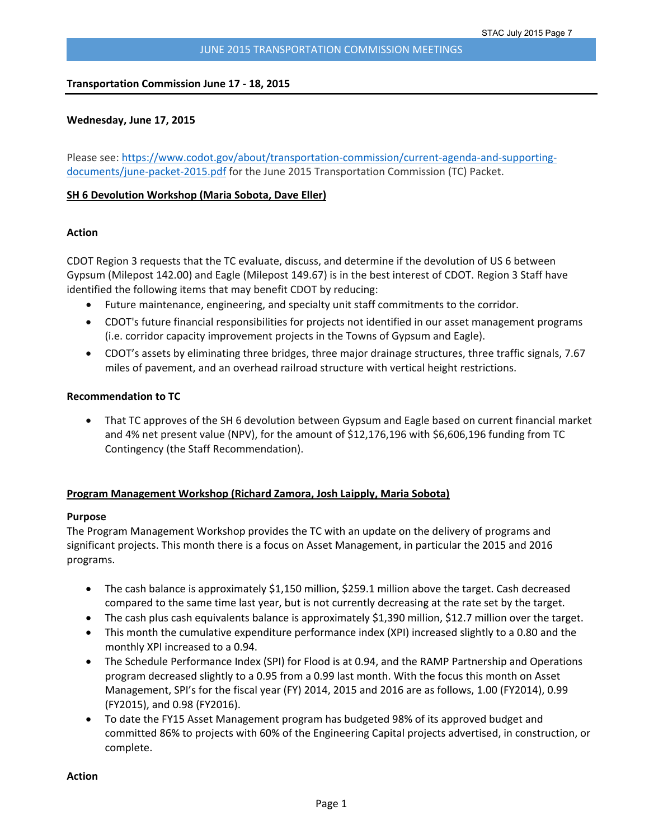#### **Transportation Commission June 17 ‐ 18, 2015**

#### **Wednesday, June 17, 2015**

Please see: https://www.codot.gov/about/transportation-commission/current-agenda-and-supportingdocuments/june-packet-2015.pdf for the June 2015 Transportation Commission (TC) Packet.

#### **SH 6 Devolution Workshop (Maria Sobota, Dave Eller)**

# **Action**

CDOT Region 3 requests that the TC evaluate, discuss, and determine if the devolution of US 6 between Gypsum (Milepost 142.00) and Eagle (Milepost 149.67) is in the best interest of CDOT. Region 3 Staff have identified the following items that may benefit CDOT by reducing:

- Future maintenance, engineering, and specialty unit staff commitments to the corridor.
- CDOT's future financial responsibilities for projects not identified in our asset management programs (i.e. corridor capacity improvement projects in the Towns of Gypsum and Eagle).
- CDOT's assets by eliminating three bridges, three major drainage structures, three traffic signals, 7.67 miles of pavement, and an overhead railroad structure with vertical height restrictions.

#### **Recommendation to TC**

 That TC approves of the SH 6 devolution between Gypsum and Eagle based on current financial market and 4% net present value (NPV), for the amount of \$12,176,196 with \$6,606,196 funding from TC Contingency (the Staff Recommendation).

# **Program Management Workshop (Richard Zamora, Josh Laipply, Maria Sobota)**

#### **Purpose**

The Program Management Workshop provides the TC with an update on the delivery of programs and significant projects. This month there is a focus on Asset Management, in particular the 2015 and 2016 programs.

- The cash balance is approximately \$1,150 million, \$259.1 million above the target. Cash decreased compared to the same time last year, but is not currently decreasing at the rate set by the target.
- The cash plus cash equivalents balance is approximately \$1,390 million, \$12.7 million over the target.
- This month the cumulative expenditure performance index (XPI) increased slightly to a 0.80 and the monthly XPI increased to a 0.94.
- The Schedule Performance Index (SPI) for Flood is at 0.94, and the RAMP Partnership and Operations program decreased slightly to a 0.95 from a 0.99 last month. With the focus this month on Asset Management, SPI's for the fiscal year (FY) 2014, 2015 and 2016 are as follows, 1.00 (FY2014), 0.99 (FY2015), and 0.98 (FY2016).
- To date the FY15 Asset Management program has budgeted 98% of its approved budget and committed 86% to projects with 60% of the Engineering Capital projects advertised, in construction, or complete.

**Action**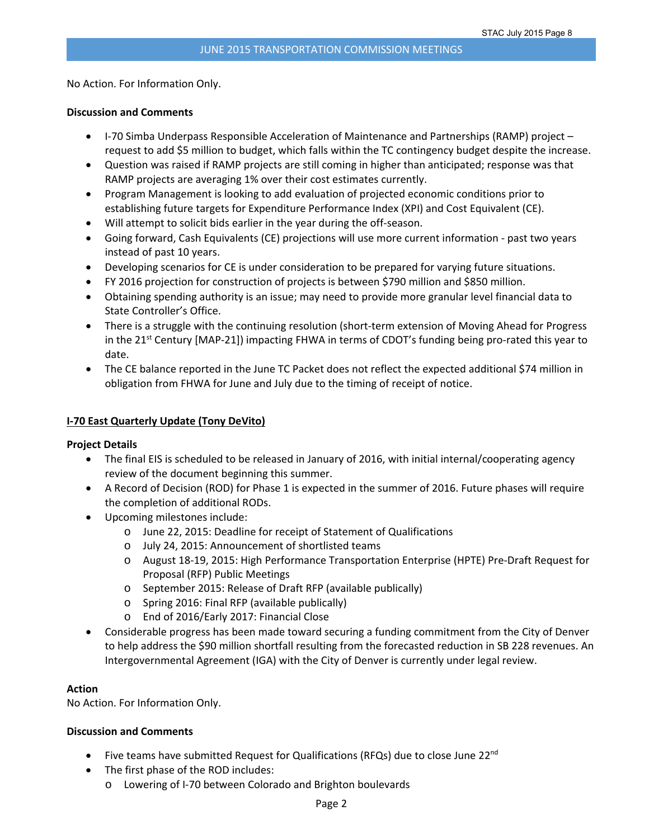No Action. For Information Only.

#### **Discussion and Comments**

- I-70 Simba Underpass Responsible Acceleration of Maintenance and Partnerships (RAMP) project request to add \$5 million to budget, which falls within the TC contingency budget despite the increase.
- Question was raised if RAMP projects are still coming in higher than anticipated; response was that RAMP projects are averaging 1% over their cost estimates currently.
- Program Management is looking to add evaluation of projected economic conditions prior to establishing future targets for Expenditure Performance Index (XPI) and Cost Equivalent (CE).
- Will attempt to solicit bids earlier in the year during the off-season.
- Going forward, Cash Equivalents (CE) projections will use more current information ‐ past two years instead of past 10 years.
- Developing scenarios for CE is under consideration to be prepared for varying future situations.
- FY 2016 projection for construction of projects is between \$790 million and \$850 million.
- Obtaining spending authority is an issue; may need to provide more granular level financial data to State Controller's Office.
- There is a struggle with the continuing resolution (short-term extension of Moving Ahead for Progress in the 21<sup>st</sup> Century [MAP-21]) impacting FHWA in terms of CDOT's funding being pro-rated this year to date.
- The CE balance reported in the June TC Packet does not reflect the expected additional \$74 million in obligation from FHWA for June and July due to the timing of receipt of notice.

# **I‐70 East Quarterly Update (Tony DeVito)**

#### **Project Details**

- The final EIS is scheduled to be released in January of 2016, with initial internal/cooperating agency review of the document beginning this summer.
- A Record of Decision (ROD) for Phase 1 is expected in the summer of 2016. Future phases will require the completion of additional RODs.
- Upcoming milestones include:
	- o June 22, 2015: Deadline for receipt of Statement of Qualifications
	- o July 24, 2015: Announcement of shortlisted teams
	- o August 18‐19, 2015: High Performance Transportation Enterprise (HPTE) Pre‐Draft Request for Proposal (RFP) Public Meetings
	- o September 2015: Release of Draft RFP (available publically)
	- o Spring 2016: Final RFP (available publically)
	- o End of 2016/Early 2017: Financial Close
- Considerable progress has been made toward securing a funding commitment from the City of Denver to help address the \$90 million shortfall resulting from the forecasted reduction in SB 228 revenues. An Intergovernmental Agreement (IGA) with the City of Denver is currently under legal review.

#### **Action**

No Action. For Information Only.

# **Discussion and Comments**

- Five teams have submitted Request for Qualifications (RFQs) due to close June 22 $^{nd}$
- The first phase of the ROD includes:
	- o Lowering of I‐70 between Colorado and Brighton boulevards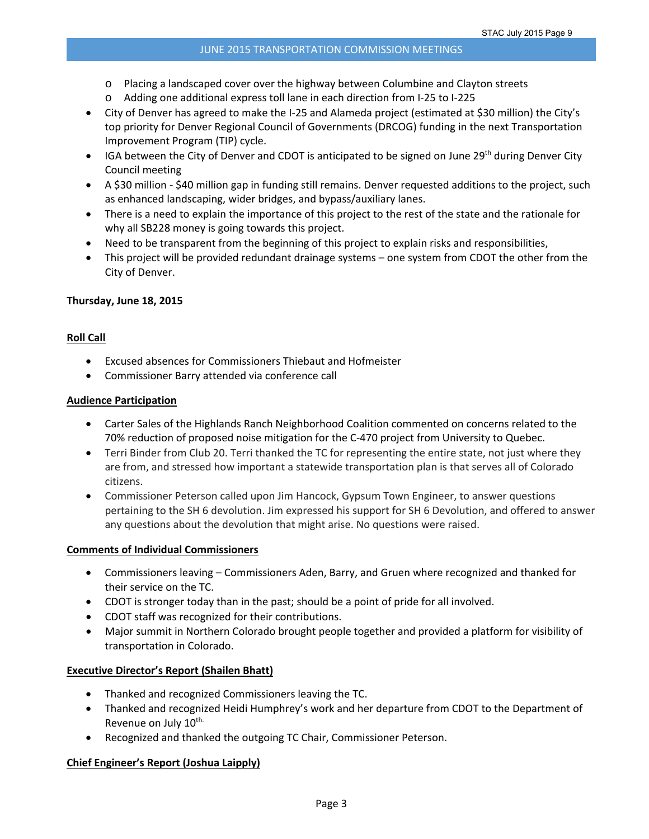- o Placing a landscaped cover over the highway between Columbine and Clayton streets
- o Adding one additional express toll lane in each direction from I‐25 to I‐225
- City of Denver has agreed to make the I‐25 and Alameda project (estimated at \$30 million) the City's top priority for Denver Regional Council of Governments (DRCOG) funding in the next Transportation Improvement Program (TIP) cycle.
- **IGA between the City of Denver and CDOT is anticipated to be signed on June 29th during Denver City** Council meeting
- A \$30 million ‐ \$40 million gap in funding still remains. Denver requested additions to the project, such as enhanced landscaping, wider bridges, and bypass/auxiliary lanes.
- There is a need to explain the importance of this project to the rest of the state and the rationale for why all SB228 money is going towards this project.
- Need to be transparent from the beginning of this project to explain risks and responsibilities,
- This project will be provided redundant drainage systems one system from CDOT the other from the City of Denver.

# **Thursday, June 18, 2015**

# **Roll Call**

- Excused absences for Commissioners Thiebaut and Hofmeister
- Commissioner Barry attended via conference call

# **Audience Participation**

- Carter Sales of the Highlands Ranch Neighborhood Coalition commented on concerns related to the 70% reduction of proposed noise mitigation for the C‐470 project from University to Quebec.
- Terri Binder from Club 20. Terri thanked the TC for representing the entire state, not just where they are from, and stressed how important a statewide transportation plan is that serves all of Colorado citizens.
- Commissioner Peterson called upon Jim Hancock, Gypsum Town Engineer, to answer questions pertaining to the SH 6 devolution. Jim expressed his support for SH 6 Devolution, and offered to answer any questions about the devolution that might arise. No questions were raised.

# **Comments of Individual Commissioners**

- Commissioners leaving Commissioners Aden, Barry, and Gruen where recognized and thanked for their service on the TC.
- CDOT is stronger today than in the past; should be a point of pride for all involved.
- CDOT staff was recognized for their contributions.
- Major summit in Northern Colorado brought people together and provided a platform for visibility of transportation in Colorado.

# **Executive Director's Report (Shailen Bhatt)**

- Thanked and recognized Commissioners leaving the TC.
- Thanked and recognized Heidi Humphrey's work and her departure from CDOT to the Department of Revenue on July 10<sup>th.</sup>
- Recognized and thanked the outgoing TC Chair, Commissioner Peterson.

# **Chief Engineer's Report (Joshua Laipply)**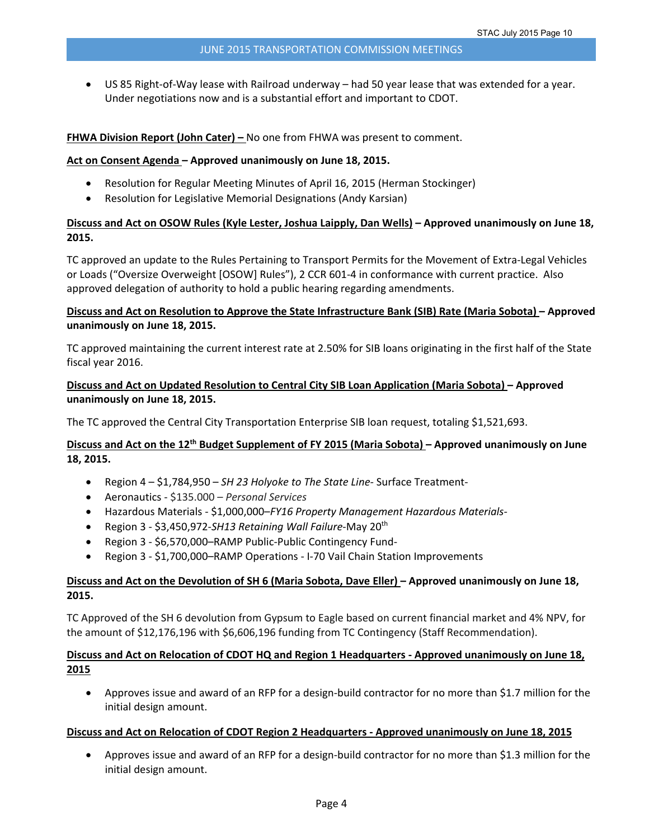US 85 Right‐of‐Way lease with Railroad underway – had 50 year lease that was extended for a year. Under negotiations now and is a substantial effort and important to CDOT.

#### **FHWA Division Report (John Cater) –** No one from FHWA was present to comment.

#### **Act on Consent Agenda – Approved unanimously on June 18, 2015.**

- Resolution for Regular Meeting Minutes of April 16, 2015 (Herman Stockinger)
- Resolution for Legislative Memorial Designations (Andy Karsian)

# Discuss and Act on OSOW Rules (Kyle Lester, Joshua Laipply, Dan Wells) - Approved unanimously on June 18, **2015.**

TC approved an update to the Rules Pertaining to Transport Permits for the Movement of Extra‐Legal Vehicles or Loads ("Oversize Overweight [OSOW] Rules"), 2 CCR 601‐4 in conformance with current practice. Also approved delegation of authority to hold a public hearing regarding amendments.

# Discuss and Act on Resolution to Approve the State Infrastructure Bank (SIB) Rate (Maria Sobota) – Approved **unanimously on June 18, 2015.**

TC approved maintaining the current interest rate at 2.50% for SIB loans originating in the first half of the State fiscal year 2016.

# **Discuss and Act on Updated Resolution to Central City SIB Loan Application (Maria Sobota) – Approved unanimously on June 18, 2015.**

The TC approved the Central City Transportation Enterprise SIB loan request, totaling \$1,521,693.

# Discuss and Act on the 12<sup>th</sup> Budget Supplement of FY 2015 (Maria Sobota) – Approved unanimously on June **18, 2015.**

- Region 4 \$1,784,950 *SH 23 Holyoke to The State Line‐* Surface Treatment‐
- Aeronautics ‐ \$135.000 *Personal Services*
- Hazardous Materials ‐ \$1,000,000–*FY16 Property Management Hazardous Materials‐*
- Region 3 ‐ \$3,450,972‐*SH13 Retaining Wall Failure*‐May 20th
- Region 3 \$6,570,000–RAMP Public-Public Contingency Fund-
- Region 3 ‐ \$1,700,000–RAMP Operations ‐ I‐70 Vail Chain Station Improvements

# Discuss and Act on the Devolution of SH 6 (Maria Sobota, Dave Eller) - Approved unanimously on June 18, **2015.**

TC Approved of the SH 6 devolution from Gypsum to Eagle based on current financial market and 4% NPV, for the amount of \$12,176,196 with \$6,606,196 funding from TC Contingency (Staff Recommendation).

# Discuss and Act on Relocation of CDOT HQ and Region 1 Headquarters - Approved unanimously on June 18, **2015**

● Approves issue and award of an RFP for a design-build contractor for no more than \$1.7 million for the initial design amount.

#### **Discuss and Act on Relocation of CDOT Region 2 Headquarters ‐ Approved unanimously on June 18, 2015**

 Approves issue and award of an RFP for a design‐build contractor for no more than \$1.3 million for the initial design amount.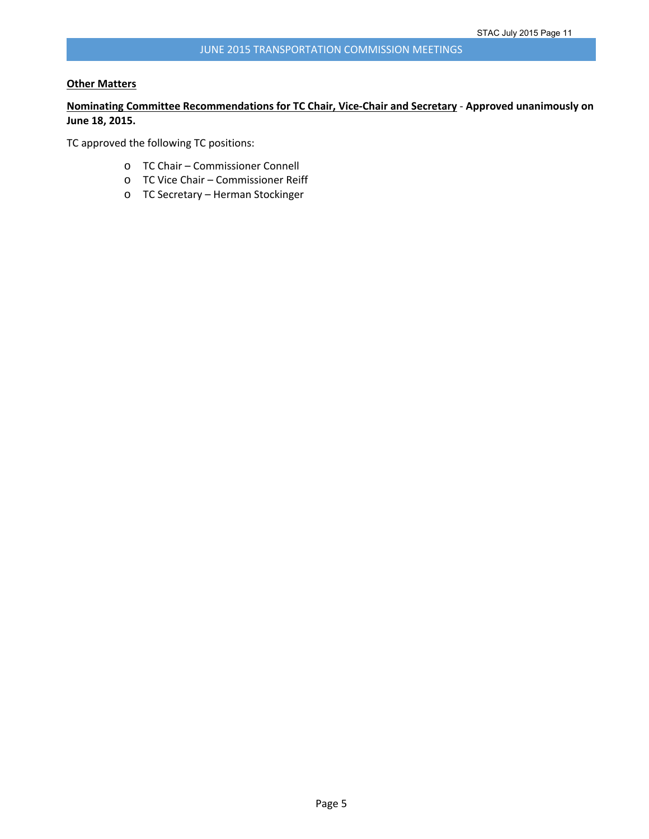#### **Other Matters**

# **Nominating Committee Recommendations for TC Chair, Vice‐Chair and Secretary** ‐ **Approved unanimously on June 18, 2015.**

TC approved the following TC positions:

- o TC Chair Commissioner Connell
- o TC Vice Chair Commissioner Reiff
- o TC Secretary Herman Stockinger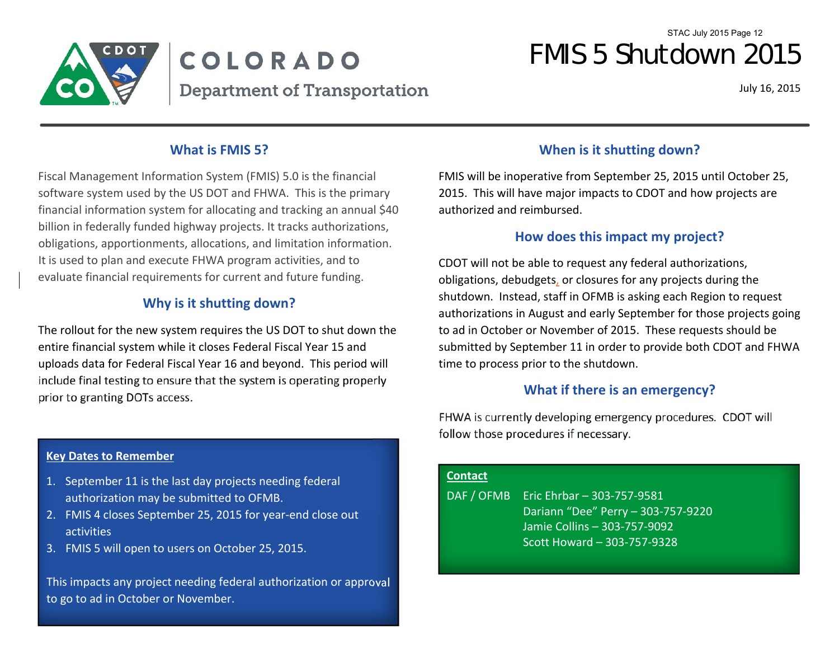

# COLORADO **Department of Transportation**

July 16, 2015

# **What is FMIS 5?**

Fiscal Management Information System (FMIS) 5.0 is the financial software system used by the US DOT and FHWA. This is the primary financial information system for allocating and tracking an annual \$40 billion in federally funded highway projects. It tracks authorizations, obligations, apportionments, allocations, and limitation information. It is used to plan and execute FHWA program activities, and to evaluate financial requirements for current and future funding.

# **Why is it shutting down?**

The rollout for the new system requires the US DOT to shut down the entire financial system while it closes Federal Fiscal Year 15 and uploads data for Federal Fiscal Year 16 and beyond. This period will include final testing to ensure that the system is operating properly prior to granting DOTs access.

# **Key Dates to Remember**

- 1. September 11 is the last day projects needing federal authorization may be submitted to OFMB.
- 2. FMIS 4 closes September 25, 2015 for year‐end close out activities
- 3. FMIS 5 will open to users on October 25, 2015.

This impacts any project needing federal authorization or approval to go to ad in October or November.

# **When is it shutting down?**

FMIS will be inoperative from September 25, 2015 until October 25, 2015. This will have major impacts to CDOT and how projects are authorized and reimbursed.

# **How does this impact my project?**

CDOT will not be able to request any federal authorizations, obligations, debudgets, or closures for any projects during the shutdown. Instead, staff in OFMB is asking each Region to request authorizations in August and early September for those projects going to ad in October or November of 2015. These requests should be submitted by September 11 in order to provide both CDOT and FHWA time to process prior to the shutdown.

# **What if there is an emergency?**

FHWA is currently developing emergency procedures. CDOT will follow those procedures if necessary.

# **Contact**

DAF / OFMB Eric Ehrbar – 303-757-9581 Dariann "Dee" Perry – 303‐757‐9220 Jamie Collins – 303‐757‐9092 Scott Howard – 303‐757‐9328